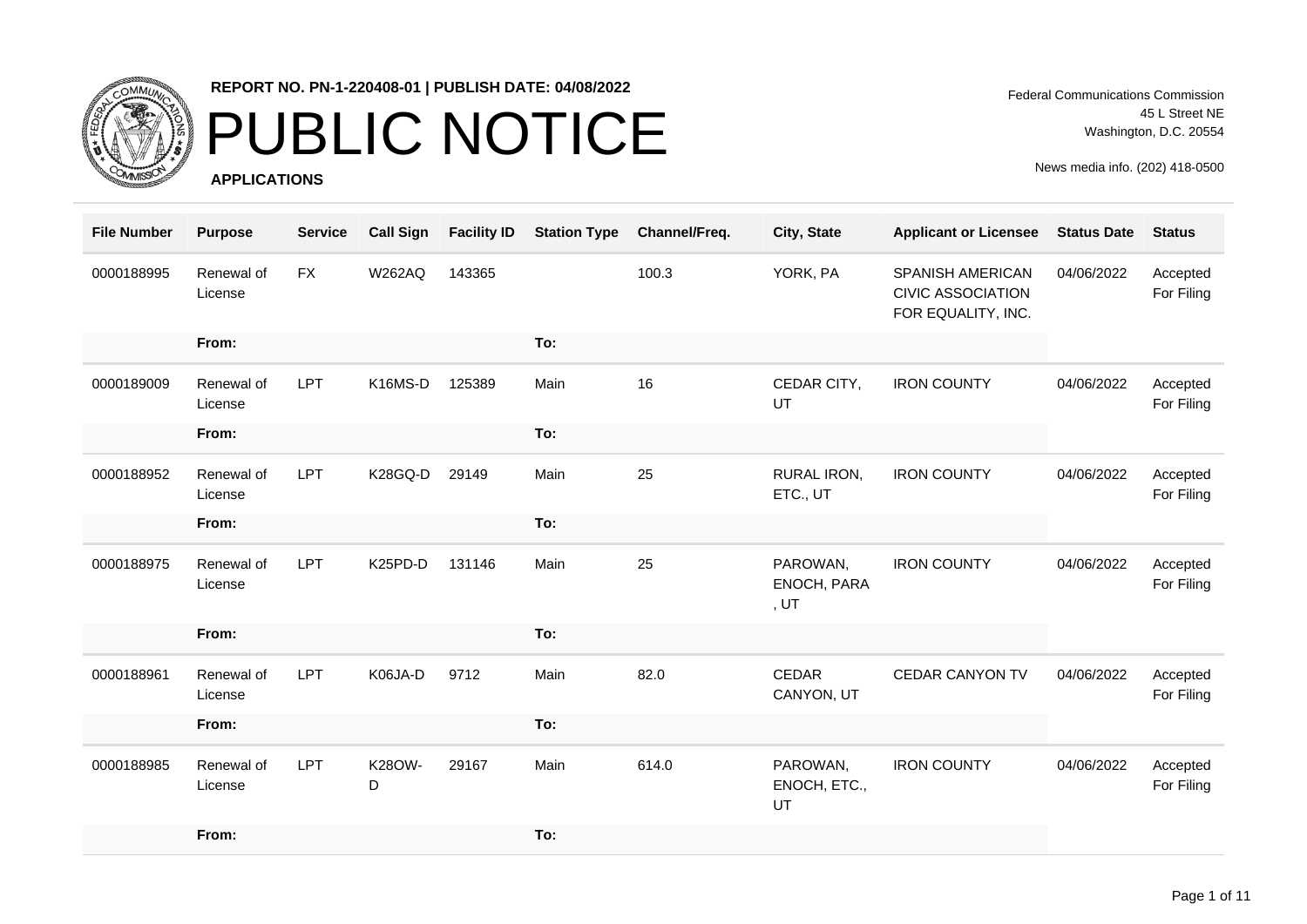

### PUBLIC NOTICE

**APPLICATIONS**

Federal Communications Commission 45 L Street NE Washington, D.C. 20554

| <b>File Number</b> | <b>Purpose</b>        | <b>Service</b> | <b>Call Sign</b> | <b>Facility ID</b> | <b>Station Type</b> | Channel/Freq. | City, State                     | <b>Applicant or Licensee</b>                                       | <b>Status Date</b> | <b>Status</b>          |
|--------------------|-----------------------|----------------|------------------|--------------------|---------------------|---------------|---------------------------------|--------------------------------------------------------------------|--------------------|------------------------|
| 0000188995         | Renewal of<br>License | <b>FX</b>      | <b>W262AQ</b>    | 143365             |                     | 100.3         | YORK, PA                        | SPANISH AMERICAN<br><b>CIVIC ASSOCIATION</b><br>FOR EQUALITY, INC. | 04/06/2022         | Accepted<br>For Filing |
|                    | From:                 |                |                  |                    | To:                 |               |                                 |                                                                    |                    |                        |
| 0000189009         | Renewal of<br>License | LPT            | K16MS-D          | 125389             | Main                | 16            | CEDAR CITY,<br>UT               | <b>IRON COUNTY</b>                                                 | 04/06/2022         | Accepted<br>For Filing |
|                    | From:                 |                |                  |                    | To:                 |               |                                 |                                                                    |                    |                        |
| 0000188952         | Renewal of<br>License | <b>LPT</b>     | K28GQ-D          | 29149              | Main                | 25            | RURAL IRON,<br>ETC., UT         | <b>IRON COUNTY</b>                                                 | 04/06/2022         | Accepted<br>For Filing |
|                    | From:                 |                |                  |                    | To:                 |               |                                 |                                                                    |                    |                        |
| 0000188975         | Renewal of<br>License | <b>LPT</b>     | K25PD-D          | 131146             | Main                | 25            | PAROWAN,<br>ENOCH, PARA<br>, UT | <b>IRON COUNTY</b>                                                 | 04/06/2022         | Accepted<br>For Filing |
|                    | From:                 |                |                  |                    | To:                 |               |                                 |                                                                    |                    |                        |
| 0000188961         | Renewal of<br>License | <b>LPT</b>     | K06JA-D          | 9712               | Main                | 82.0          | CEDAR<br>CANYON, UT             | CEDAR CANYON TV                                                    | 04/06/2022         | Accepted<br>For Filing |
|                    | From:                 |                |                  |                    | To:                 |               |                                 |                                                                    |                    |                        |
| 0000188985         | Renewal of<br>License | <b>LPT</b>     | K28OW-<br>D      | 29167              | Main                | 614.0         | PAROWAN,<br>ENOCH, ETC.,<br>UT  | <b>IRON COUNTY</b>                                                 | 04/06/2022         | Accepted<br>For Filing |
|                    | From:                 |                |                  |                    | To:                 |               |                                 |                                                                    |                    |                        |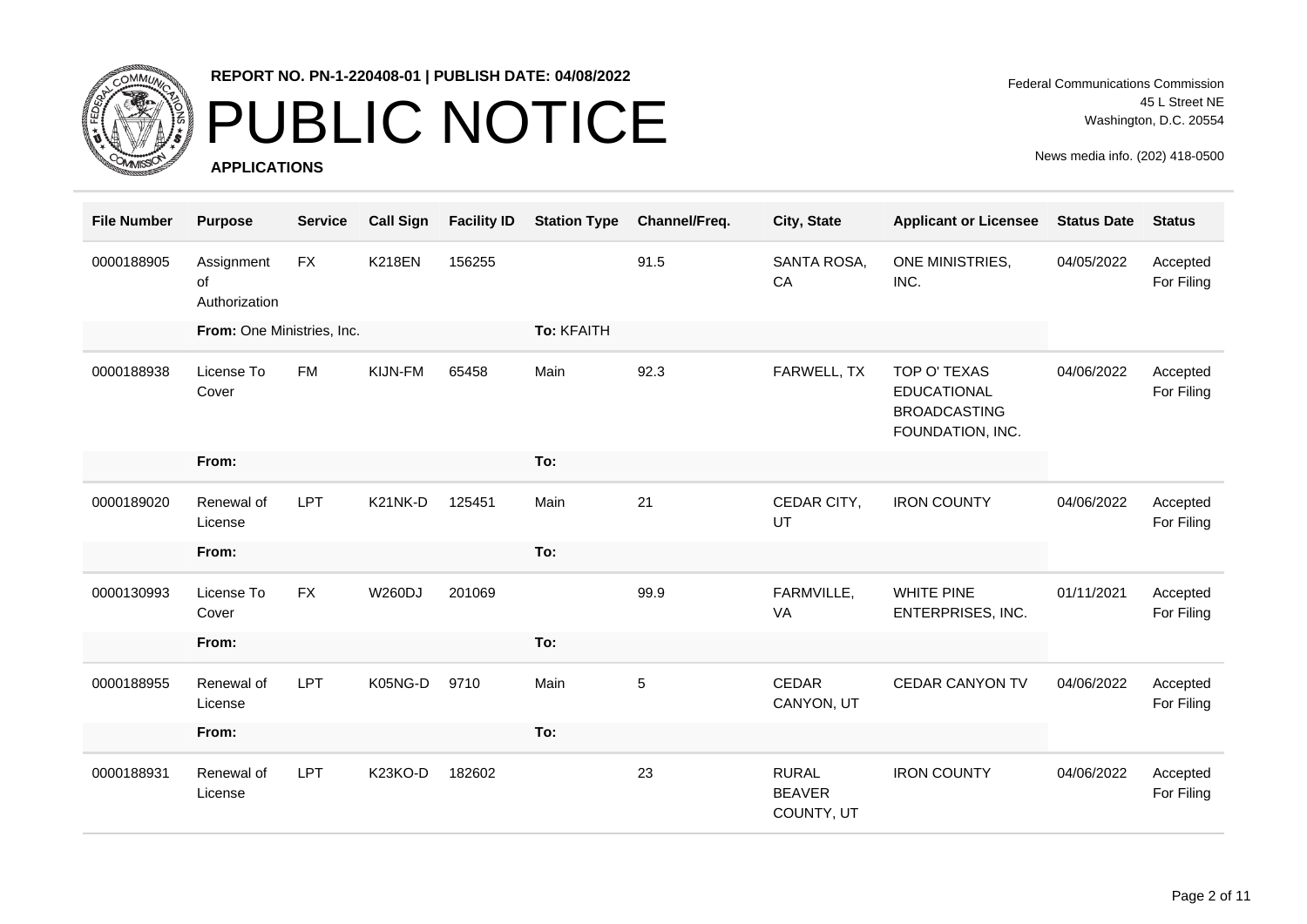

## PUBLIC NOTICE

**APPLICATIONS**

Federal Communications Commission 45 L Street NE Washington, D.C. 20554

| <b>File Number</b> | <b>Purpose</b>                    | <b>Service</b> | <b>Call Sign</b> | <b>Facility ID</b> | <b>Station Type</b> | Channel/Freq. | City, State                                 | <b>Applicant or Licensee</b>                                                  | <b>Status Date</b> | <b>Status</b>          |
|--------------------|-----------------------------------|----------------|------------------|--------------------|---------------------|---------------|---------------------------------------------|-------------------------------------------------------------------------------|--------------------|------------------------|
| 0000188905         | Assignment<br>of<br>Authorization | FX             | <b>K218EN</b>    | 156255             |                     | 91.5          | SANTA ROSA,<br>CA                           | ONE MINISTRIES,<br>INC.                                                       | 04/05/2022         | Accepted<br>For Filing |
|                    | From: One Ministries, Inc.        |                |                  |                    | To: KFAITH          |               |                                             |                                                                               |                    |                        |
| 0000188938         | License To<br>Cover               | <b>FM</b>      | KIJN-FM          | 65458              | Main                | 92.3          | FARWELL, TX                                 | TOP O' TEXAS<br><b>EDUCATIONAL</b><br><b>BROADCASTING</b><br>FOUNDATION, INC. | 04/06/2022         | Accepted<br>For Filing |
|                    | From:                             |                |                  |                    | To:                 |               |                                             |                                                                               |                    |                        |
| 0000189020         | Renewal of<br>License             | LPT            | K21NK-D          | 125451             | Main                | 21            | CEDAR CITY,<br>UT                           | <b>IRON COUNTY</b>                                                            | 04/06/2022         | Accepted<br>For Filing |
|                    | From:                             |                |                  |                    | To:                 |               |                                             |                                                                               |                    |                        |
| 0000130993         | License To<br>Cover               | <b>FX</b>      | <b>W260DJ</b>    | 201069             |                     | 99.9          | FARMVILLE,<br>VA                            | <b>WHITE PINE</b><br>ENTERPRISES, INC.                                        | 01/11/2021         | Accepted<br>For Filing |
|                    | From:                             |                |                  |                    | To:                 |               |                                             |                                                                               |                    |                        |
| 0000188955         | Renewal of<br>License             | LPT            | K05NG-D          | 9710               | Main                | $\sqrt{5}$    | <b>CEDAR</b><br>CANYON, UT                  | <b>CEDAR CANYON TV</b>                                                        | 04/06/2022         | Accepted<br>For Filing |
|                    | From:                             |                |                  |                    | To:                 |               |                                             |                                                                               |                    |                        |
| 0000188931         | Renewal of<br>License             | LPT            | K23KO-D          | 182602             |                     | 23            | <b>RURAL</b><br><b>BEAVER</b><br>COUNTY, UT | <b>IRON COUNTY</b>                                                            | 04/06/2022         | Accepted<br>For Filing |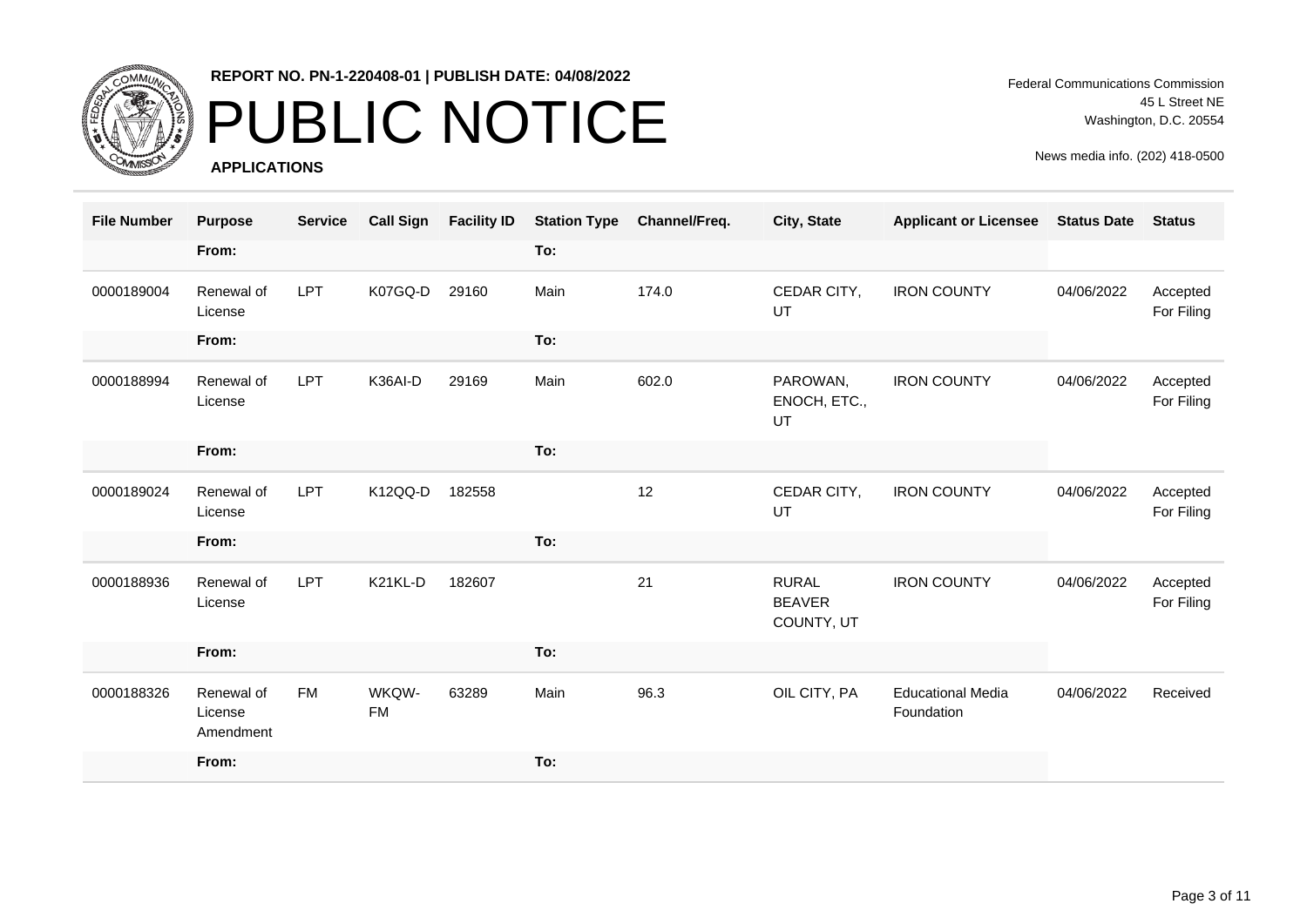

# PUBLIC NOTICE

**APPLICATIONS**

Federal Communications Commission 45 L Street NE Washington, D.C. 20554

| <b>File Number</b> | <b>Purpose</b>                     | <b>Service</b> | <b>Call Sign</b>   | <b>Facility ID</b> | <b>Station Type</b> | Channel/Freq. | City, State                                 | <b>Applicant or Licensee</b>           | <b>Status Date</b> | <b>Status</b>          |
|--------------------|------------------------------------|----------------|--------------------|--------------------|---------------------|---------------|---------------------------------------------|----------------------------------------|--------------------|------------------------|
|                    | From:                              |                |                    |                    | To:                 |               |                                             |                                        |                    |                        |
| 0000189004         | Renewal of<br>License              | LPT            | K07GQ-D            | 29160              | Main                | 174.0         | CEDAR CITY,<br>UT                           | <b>IRON COUNTY</b>                     | 04/06/2022         | Accepted<br>For Filing |
|                    | From:                              |                |                    |                    | To:                 |               |                                             |                                        |                    |                        |
| 0000188994         | Renewal of<br>License              | LPT            | K36AI-D            | 29169              | Main                | 602.0         | PAROWAN,<br>ENOCH, ETC.,<br>UT              | <b>IRON COUNTY</b>                     | 04/06/2022         | Accepted<br>For Filing |
|                    | From:                              |                |                    |                    | To:                 |               |                                             |                                        |                    |                        |
| 0000189024         | Renewal of<br>License              | LPT            | K12QQ-D            | 182558             |                     | 12            | CEDAR CITY,<br>UT                           | <b>IRON COUNTY</b>                     | 04/06/2022         | Accepted<br>For Filing |
|                    | From:                              |                |                    |                    | To:                 |               |                                             |                                        |                    |                        |
| 0000188936         | Renewal of<br>License              | LPT            | K21KL-D            | 182607             |                     | 21            | <b>RURAL</b><br><b>BEAVER</b><br>COUNTY, UT | <b>IRON COUNTY</b>                     | 04/06/2022         | Accepted<br>For Filing |
|                    | From:                              |                |                    |                    | To:                 |               |                                             |                                        |                    |                        |
| 0000188326         | Renewal of<br>License<br>Amendment | <b>FM</b>      | WKQW-<br><b>FM</b> | 63289              | Main                | 96.3          | OIL CITY, PA                                | <b>Educational Media</b><br>Foundation | 04/06/2022         | Received               |
|                    | From:                              |                |                    |                    | To:                 |               |                                             |                                        |                    |                        |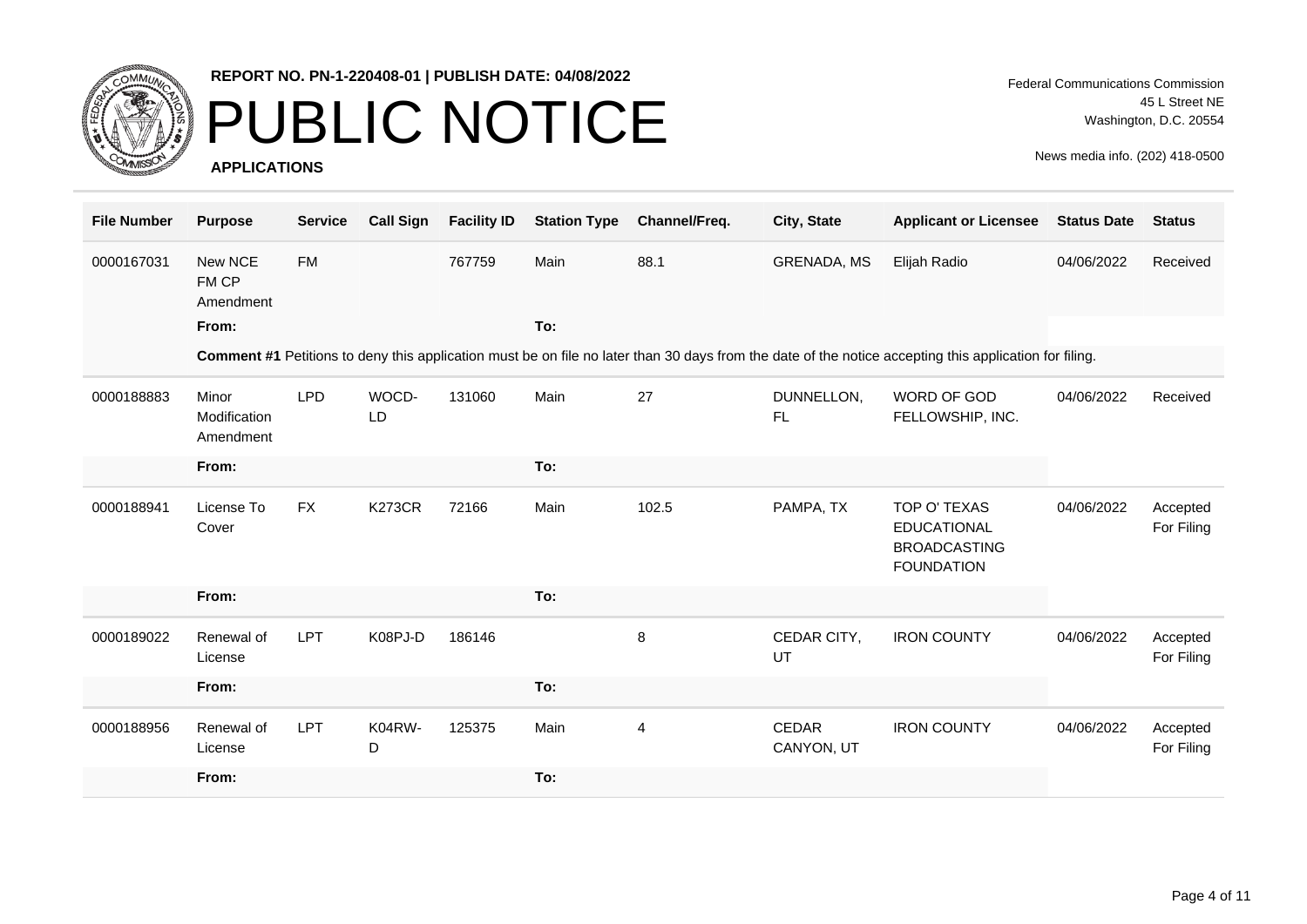

### PUBLIC NOTICE

**APPLICATIONS**

| <b>File Number</b> | <b>Purpose</b>                     | <b>Service</b> | <b>Call Sign</b> | <b>Facility ID</b> | <b>Station Type</b> | Channel/Freq. | City, State             | <b>Applicant or Licensee</b>                                                                                                                           | <b>Status Date</b> | <b>Status</b>          |
|--------------------|------------------------------------|----------------|------------------|--------------------|---------------------|---------------|-------------------------|--------------------------------------------------------------------------------------------------------------------------------------------------------|--------------------|------------------------|
| 0000167031         | New NCE<br>FM CP<br>Amendment      | <b>FM</b>      |                  | 767759             | Main                | 88.1          | GRENADA, MS             | Elijah Radio                                                                                                                                           | 04/06/2022         | Received               |
|                    | From:                              |                |                  |                    | To:                 |               |                         |                                                                                                                                                        |                    |                        |
|                    |                                    |                |                  |                    |                     |               |                         | Comment #1 Petitions to deny this application must be on file no later than 30 days from the date of the notice accepting this application for filing. |                    |                        |
| 0000188883         | Minor<br>Modification<br>Amendment | <b>LPD</b>     | WOCD-<br>LD      | 131060             | Main                | 27            | DUNNELLON,<br><b>FL</b> | WORD OF GOD<br>FELLOWSHIP, INC.                                                                                                                        | 04/06/2022         | Received               |
|                    | From:                              |                |                  |                    | To:                 |               |                         |                                                                                                                                                        |                    |                        |
| 0000188941         | License To<br>Cover                | <b>FX</b>      | <b>K273CR</b>    | 72166              | Main                | 102.5         | PAMPA, TX               | TOP O' TEXAS<br><b>EDUCATIONAL</b><br><b>BROADCASTING</b><br><b>FOUNDATION</b>                                                                         | 04/06/2022         | Accepted<br>For Filing |
|                    | From:                              |                |                  |                    | To:                 |               |                         |                                                                                                                                                        |                    |                        |
| 0000189022         | Renewal of<br>License              | <b>LPT</b>     | K08PJ-D          | 186146             |                     | $\,8\,$       | CEDAR CITY,<br>UT       | <b>IRON COUNTY</b>                                                                                                                                     | 04/06/2022         | Accepted<br>For Filing |
|                    | From:                              |                |                  |                    | To:                 |               |                         |                                                                                                                                                        |                    |                        |
| 0000188956         | Renewal of<br>License              | LPT            | K04RW-<br>D      | 125375             | Main                | 4             | CEDAR<br>CANYON, UT     | <b>IRON COUNTY</b>                                                                                                                                     | 04/06/2022         | Accepted<br>For Filing |
|                    | From:                              |                |                  |                    | To:                 |               |                         |                                                                                                                                                        |                    |                        |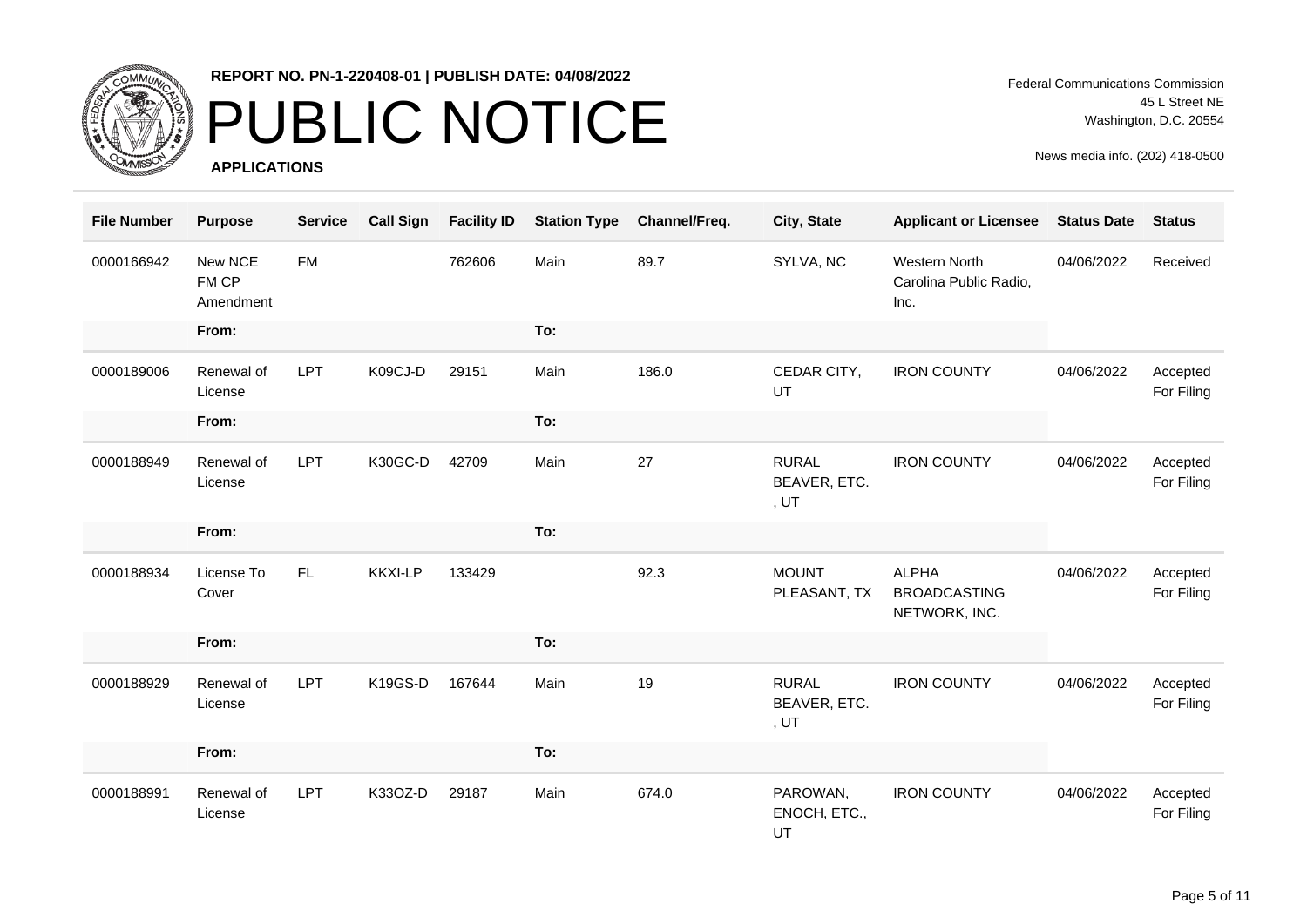

### PUBLIC NOTICE

**APPLICATIONS**

Federal Communications Commission 45 L Street NE Washington, D.C. 20554

| <b>File Number</b> | <b>Purpose</b>                | <b>Service</b> | <b>Call Sign</b> | <b>Facility ID</b> | <b>Station Type</b> | Channel/Freq. | City, State                                 | <b>Applicant or Licensee</b>                         | <b>Status Date</b> | <b>Status</b>          |
|--------------------|-------------------------------|----------------|------------------|--------------------|---------------------|---------------|---------------------------------------------|------------------------------------------------------|--------------------|------------------------|
| 0000166942         | New NCE<br>FM CP<br>Amendment | <b>FM</b>      |                  | 762606             | Main                | 89.7          | SYLVA, NC                                   | Western North<br>Carolina Public Radio,<br>Inc.      | 04/06/2022         | Received               |
|                    | From:                         |                |                  |                    | To:                 |               |                                             |                                                      |                    |                        |
| 0000189006         | Renewal of<br>License         | <b>LPT</b>     | K09CJ-D          | 29151              | Main                | 186.0         | CEDAR CITY,<br>UT                           | <b>IRON COUNTY</b>                                   | 04/06/2022         | Accepted<br>For Filing |
|                    | From:                         |                |                  |                    | To:                 |               |                                             |                                                      |                    |                        |
| 0000188949         | Renewal of<br>License         | <b>LPT</b>     | K30GC-D          | 42709              | Main                | 27            | <b>RURAL</b><br>BEAVER, ETC.<br>, $UT$      | <b>IRON COUNTY</b>                                   | 04/06/2022         | Accepted<br>For Filing |
|                    | From:                         |                |                  |                    | To:                 |               |                                             |                                                      |                    |                        |
| 0000188934         | License To<br>Cover           | <b>FL</b>      | <b>KKXI-LP</b>   | 133429             |                     | 92.3          | <b>MOUNT</b><br>PLEASANT, TX                | <b>ALPHA</b><br><b>BROADCASTING</b><br>NETWORK, INC. | 04/06/2022         | Accepted<br>For Filing |
|                    | From:                         |                |                  |                    | To:                 |               |                                             |                                                      |                    |                        |
| 0000188929         | Renewal of<br>License         | <b>LPT</b>     | K19GS-D          | 167644             | Main                | 19            | <b>RURAL</b><br>BEAVER, ETC.<br>, <i>UT</i> | <b>IRON COUNTY</b>                                   | 04/06/2022         | Accepted<br>For Filing |
|                    | From:                         |                |                  |                    | To:                 |               |                                             |                                                      |                    |                        |
| 0000188991         | Renewal of<br>License         | <b>LPT</b>     | K33OZ-D          | 29187              | Main                | 674.0         | PAROWAN,<br>ENOCH, ETC.,<br>UT              | <b>IRON COUNTY</b>                                   | 04/06/2022         | Accepted<br>For Filing |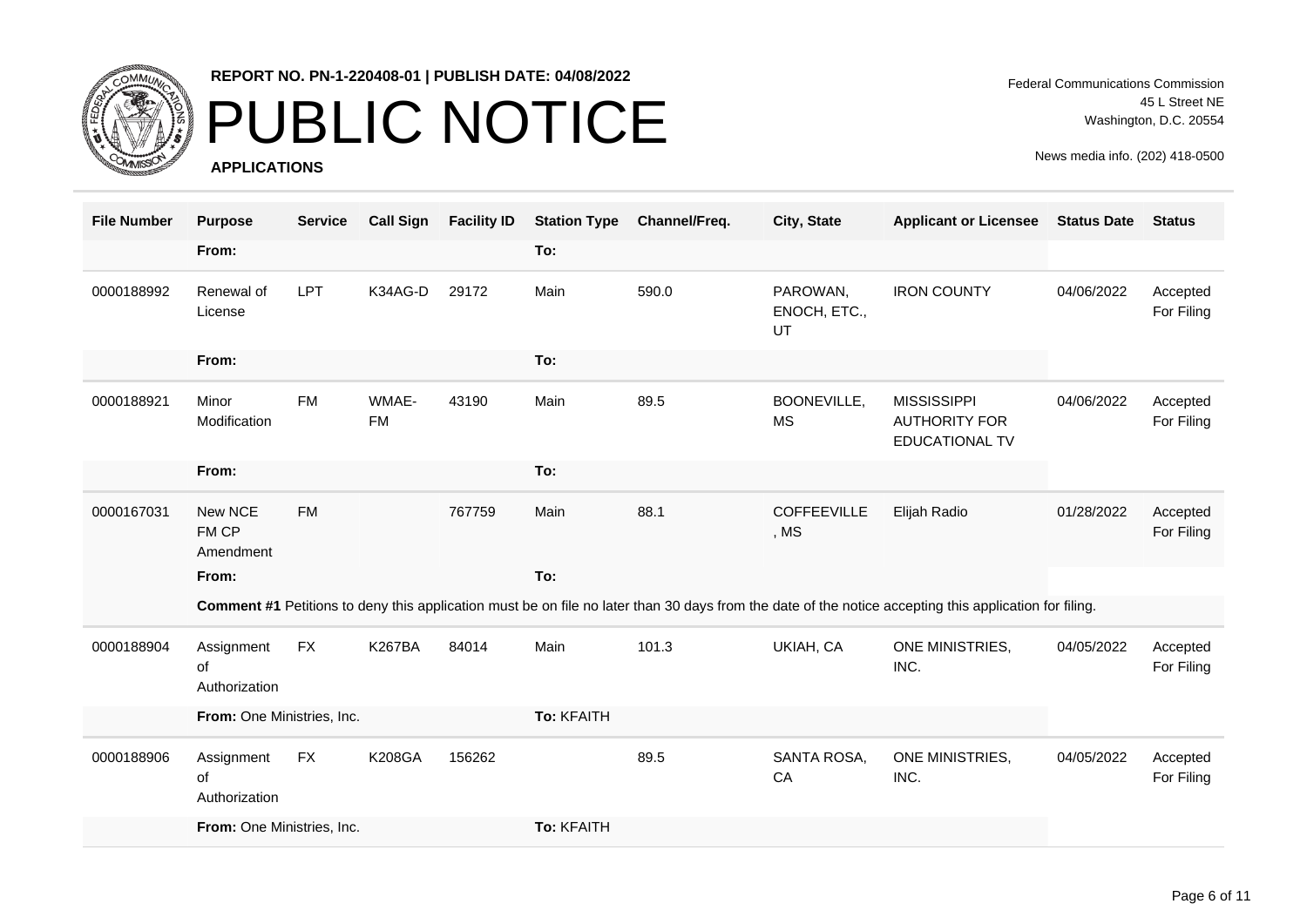

### PUBLIC NOTICE

**APPLICATIONS**

Federal Communications Commission 45 L Street NE Washington, D.C. 20554

| <b>File Number</b> | <b>Purpose</b>                    | <b>Service</b> | <b>Call Sign</b>   | <b>Facility ID</b> | <b>Station Type</b> | Channel/Freq. | City, State                    | <b>Applicant or Licensee</b>                                                                                                                           | <b>Status Date</b> | <b>Status</b>          |
|--------------------|-----------------------------------|----------------|--------------------|--------------------|---------------------|---------------|--------------------------------|--------------------------------------------------------------------------------------------------------------------------------------------------------|--------------------|------------------------|
|                    | From:                             |                |                    |                    | To:                 |               |                                |                                                                                                                                                        |                    |                        |
| 0000188992         | Renewal of<br>License             | <b>LPT</b>     | K34AG-D            | 29172              | Main                | 590.0         | PAROWAN,<br>ENOCH, ETC.,<br>UT | <b>IRON COUNTY</b>                                                                                                                                     | 04/06/2022         | Accepted<br>For Filing |
|                    | From:                             |                |                    |                    | To:                 |               |                                |                                                                                                                                                        |                    |                        |
| 0000188921         | Minor<br>Modification             | <b>FM</b>      | WMAE-<br><b>FM</b> | 43190              | Main                | 89.5          | BOONEVILLE,<br><b>MS</b>       | <b>MISSISSIPPI</b><br><b>AUTHORITY FOR</b><br><b>EDUCATIONAL TV</b>                                                                                    | 04/06/2022         | Accepted<br>For Filing |
|                    | From:                             |                |                    |                    | To:                 |               |                                |                                                                                                                                                        |                    |                        |
| 0000167031         | New NCE<br>FM CP<br>Amendment     | <b>FM</b>      |                    | 767759             | Main                | 88.1          | <b>COFFEEVILLE</b><br>, MS     | Elijah Radio                                                                                                                                           | 01/28/2022         | Accepted<br>For Filing |
|                    | From:                             |                |                    |                    | To:                 |               |                                |                                                                                                                                                        |                    |                        |
|                    |                                   |                |                    |                    |                     |               |                                | Comment #1 Petitions to deny this application must be on file no later than 30 days from the date of the notice accepting this application for filing. |                    |                        |
| 0000188904         | Assignment<br>of<br>Authorization | <b>FX</b>      | <b>K267BA</b>      | 84014              | Main                | 101.3         | UKIAH, CA                      | ONE MINISTRIES,<br>INC.                                                                                                                                | 04/05/2022         | Accepted<br>For Filing |
|                    | From: One Ministries, Inc.        |                |                    |                    | To: KFAITH          |               |                                |                                                                                                                                                        |                    |                        |
| 0000188906         | Assignment<br>οf<br>Authorization | FX             | <b>K208GA</b>      | 156262             |                     | 89.5          | SANTA ROSA,<br>CA              | ONE MINISTRIES,<br>INC.                                                                                                                                | 04/05/2022         | Accepted<br>For Filing |
|                    | From: One Ministries, Inc.        |                |                    |                    | To: KFAITH          |               |                                |                                                                                                                                                        |                    |                        |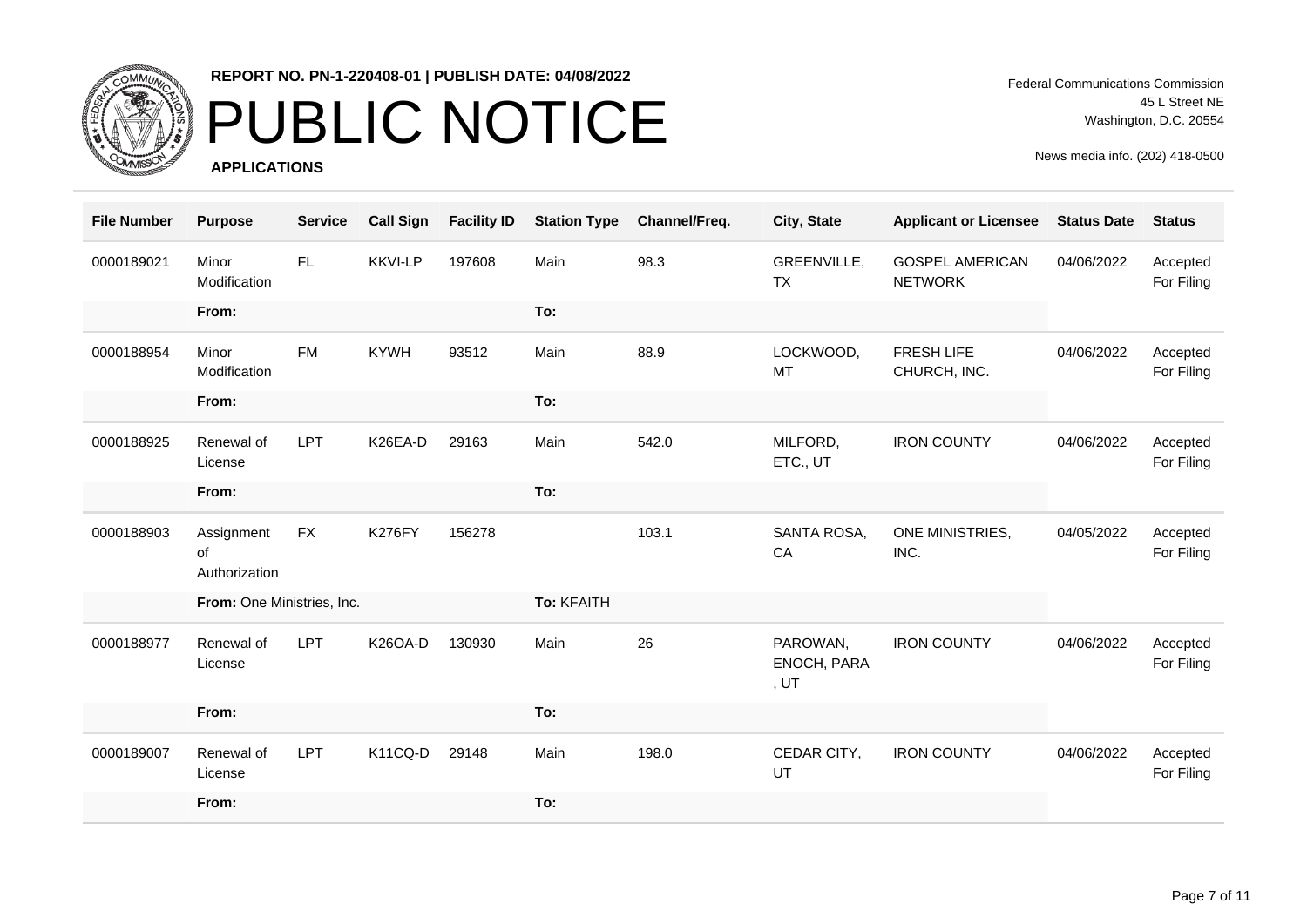

# PUBLIC NOTICE

**APPLICATIONS**

Federal Communications Commission 45 L Street NE Washington, D.C. 20554

| <b>File Number</b> | <b>Purpose</b>                    | <b>Service</b> | <b>Call Sign</b> | <b>Facility ID</b> | <b>Station Type</b> | Channel/Freq. | City, State                            | <b>Applicant or Licensee</b>             | <b>Status Date</b> | <b>Status</b>          |
|--------------------|-----------------------------------|----------------|------------------|--------------------|---------------------|---------------|----------------------------------------|------------------------------------------|--------------------|------------------------|
| 0000189021         | Minor<br>Modification             | FL             | <b>KKVI-LP</b>   | 197608             | Main                | 98.3          | GREENVILLE,<br><b>TX</b>               | <b>GOSPEL AMERICAN</b><br><b>NETWORK</b> | 04/06/2022         | Accepted<br>For Filing |
|                    | From:                             |                |                  |                    | To:                 |               |                                        |                                          |                    |                        |
| 0000188954         | Minor<br>Modification             | <b>FM</b>      | <b>KYWH</b>      | 93512              | Main                | 88.9          | LOCKWOOD,<br>MT                        | <b>FRESH LIFE</b><br>CHURCH, INC.        | 04/06/2022         | Accepted<br>For Filing |
|                    | From:                             |                |                  |                    | To:                 |               |                                        |                                          |                    |                        |
| 0000188925         | Renewal of<br>License             | <b>LPT</b>     | K26EA-D          | 29163              | Main                | 542.0         | MILFORD,<br>ETC., UT                   | <b>IRON COUNTY</b>                       | 04/06/2022         | Accepted<br>For Filing |
|                    | From:                             |                |                  |                    | To:                 |               |                                        |                                          |                    |                        |
| 0000188903         | Assignment<br>of<br>Authorization | <b>FX</b>      | <b>K276FY</b>    | 156278             |                     | 103.1         | SANTA ROSA,<br>CA                      | ONE MINISTRIES,<br>INC.                  | 04/05/2022         | Accepted<br>For Filing |
|                    | From: One Ministries, Inc.        |                |                  |                    | To: KFAITH          |               |                                        |                                          |                    |                        |
| 0000188977         | Renewal of<br>License             | <b>LPT</b>     | K26OA-D          | 130930             | Main                | 26            | PAROWAN,<br>ENOCH, PARA<br>, $\sf{UT}$ | <b>IRON COUNTY</b>                       | 04/06/2022         | Accepted<br>For Filing |
|                    | From:                             |                |                  |                    | To:                 |               |                                        |                                          |                    |                        |
| 0000189007         | Renewal of<br>License             | LPT            | K11CQ-D          | 29148              | Main                | 198.0         | CEDAR CITY,<br>UT                      | <b>IRON COUNTY</b>                       | 04/06/2022         | Accepted<br>For Filing |
|                    | From:                             |                |                  |                    | To:                 |               |                                        |                                          |                    |                        |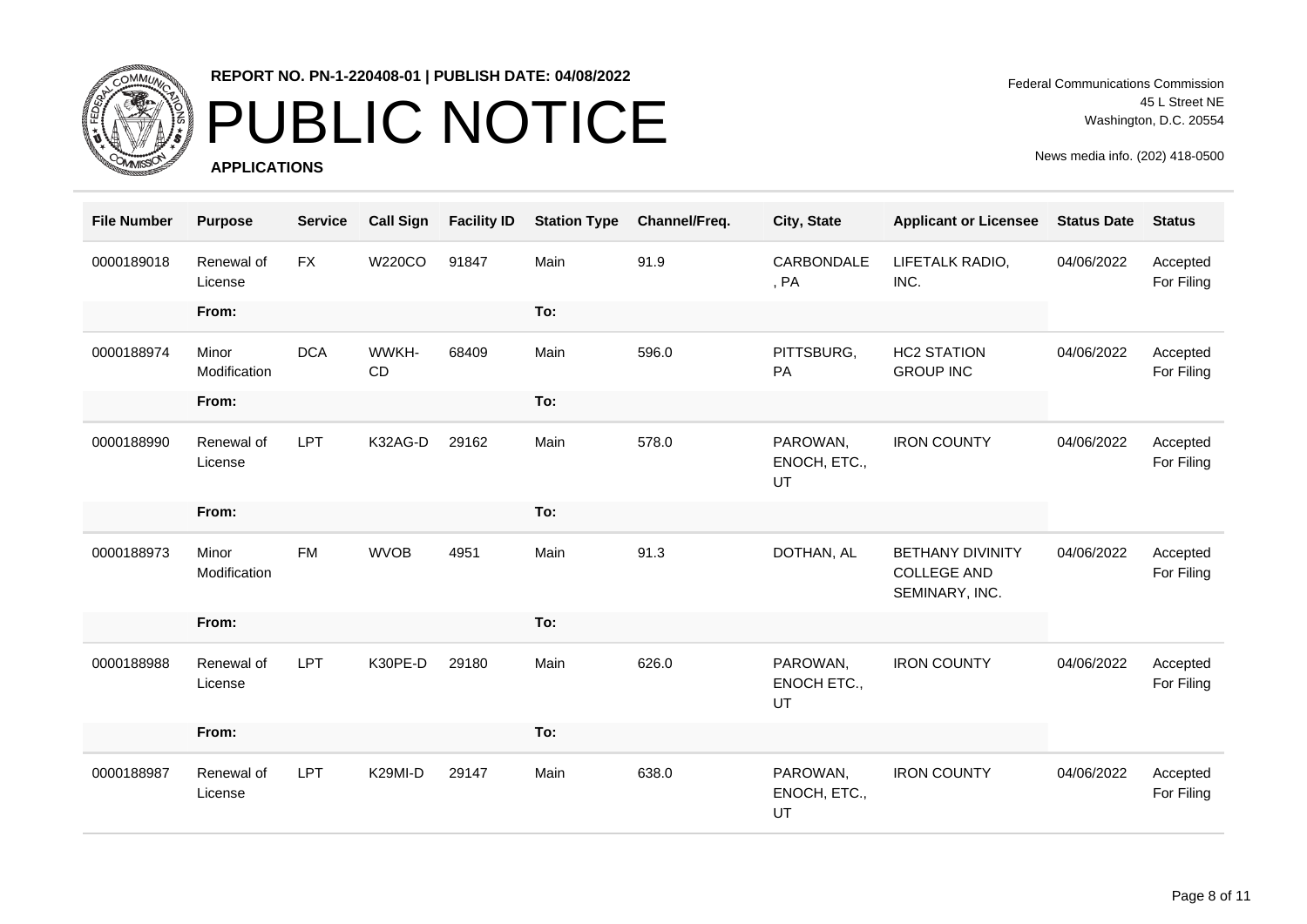

# PUBLIC NOTICE

**APPLICATIONS**

Federal Communications Commission 45 L Street NE Washington, D.C. 20554

| <b>File Number</b> | <b>Purpose</b>        | <b>Service</b> | <b>Call Sign</b> | <b>Facility ID</b> | <b>Station Type</b> | Channel/Freq. | City, State                    | <b>Applicant or Licensee</b>                                    | <b>Status Date</b> | <b>Status</b>          |
|--------------------|-----------------------|----------------|------------------|--------------------|---------------------|---------------|--------------------------------|-----------------------------------------------------------------|--------------------|------------------------|
| 0000189018         | Renewal of<br>License | <b>FX</b>      | <b>W220CO</b>    | 91847              | Main                | 91.9          | CARBONDALE<br>, PA             | LIFETALK RADIO,<br>INC.                                         | 04/06/2022         | Accepted<br>For Filing |
|                    | From:                 |                |                  |                    | To:                 |               |                                |                                                                 |                    |                        |
| 0000188974         | Minor<br>Modification | <b>DCA</b>     | WWKH-<br>CD      | 68409              | Main                | 596.0         | PITTSBURG,<br>PA               | <b>HC2 STATION</b><br><b>GROUP INC</b>                          | 04/06/2022         | Accepted<br>For Filing |
|                    | From:                 |                |                  |                    | To:                 |               |                                |                                                                 |                    |                        |
| 0000188990         | Renewal of<br>License | <b>LPT</b>     | K32AG-D          | 29162              | Main                | 578.0         | PAROWAN,<br>ENOCH, ETC.,<br>UT | <b>IRON COUNTY</b>                                              | 04/06/2022         | Accepted<br>For Filing |
|                    | From:                 |                |                  |                    | To:                 |               |                                |                                                                 |                    |                        |
| 0000188973         | Minor<br>Modification | <b>FM</b>      | <b>WVOB</b>      | 4951               | Main                | 91.3          | DOTHAN, AL                     | <b>BETHANY DIVINITY</b><br><b>COLLEGE AND</b><br>SEMINARY, INC. | 04/06/2022         | Accepted<br>For Filing |
|                    | From:                 |                |                  |                    | To:                 |               |                                |                                                                 |                    |                        |
| 0000188988         | Renewal of<br>License | <b>LPT</b>     | K30PE-D          | 29180              | Main                | 626.0         | PAROWAN,<br>ENOCH ETC.,<br>UT  | <b>IRON COUNTY</b>                                              | 04/06/2022         | Accepted<br>For Filing |
|                    | From:                 |                |                  |                    | To:                 |               |                                |                                                                 |                    |                        |
| 0000188987         | Renewal of<br>License | <b>LPT</b>     | K29MI-D          | 29147              | Main                | 638.0         | PAROWAN,<br>ENOCH, ETC.,<br>UT | <b>IRON COUNTY</b>                                              | 04/06/2022         | Accepted<br>For Filing |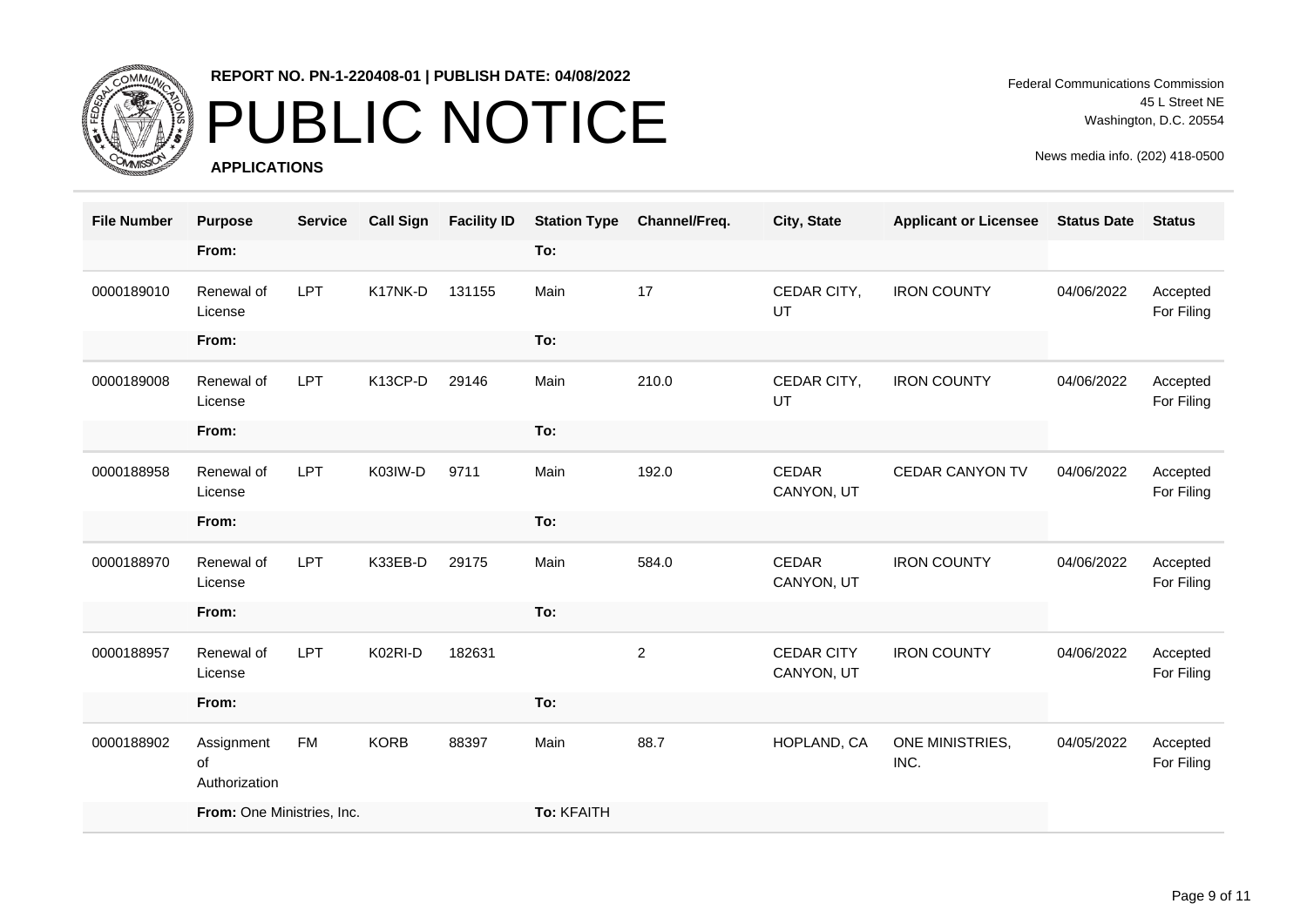

# PUBLIC NOTICE

**APPLICATIONS**

Federal Communications Commission 45 L Street NE Washington, D.C. 20554

| <b>File Number</b> | <b>Purpose</b>                    | <b>Service</b> | <b>Call Sign</b> | <b>Facility ID</b> | <b>Station Type</b> | Channel/Freq.  | City, State                     | <b>Applicant or Licensee</b> | <b>Status Date</b> | <b>Status</b>          |
|--------------------|-----------------------------------|----------------|------------------|--------------------|---------------------|----------------|---------------------------------|------------------------------|--------------------|------------------------|
|                    | From:                             |                |                  |                    | To:                 |                |                                 |                              |                    |                        |
| 0000189010         | Renewal of<br>License             | <b>LPT</b>     | K17NK-D          | 131155             | Main                | 17             | CEDAR CITY,<br>UT               | <b>IRON COUNTY</b>           | 04/06/2022         | Accepted<br>For Filing |
|                    | From:                             |                |                  |                    | To:                 |                |                                 |                              |                    |                        |
| 0000189008         | Renewal of<br>License             | <b>LPT</b>     | K13CP-D          | 29146              | Main                | 210.0          | CEDAR CITY,<br>UT               | <b>IRON COUNTY</b>           | 04/06/2022         | Accepted<br>For Filing |
|                    | From:                             |                |                  |                    | To:                 |                |                                 |                              |                    |                        |
| 0000188958         | Renewal of<br>License             | LPT            | K03IW-D          | 9711               | Main                | 192.0          | CEDAR<br>CANYON, UT             | <b>CEDAR CANYON TV</b>       | 04/06/2022         | Accepted<br>For Filing |
|                    | From:                             |                |                  |                    | To:                 |                |                                 |                              |                    |                        |
| 0000188970         | Renewal of<br>License             | <b>LPT</b>     | K33EB-D          | 29175              | Main                | 584.0          | CEDAR<br>CANYON, UT             | <b>IRON COUNTY</b>           | 04/06/2022         | Accepted<br>For Filing |
|                    | From:                             |                |                  |                    | To:                 |                |                                 |                              |                    |                        |
| 0000188957         | Renewal of<br>License             | <b>LPT</b>     | K02RI-D          | 182631             |                     | $\overline{2}$ | <b>CEDAR CITY</b><br>CANYON, UT | <b>IRON COUNTY</b>           | 04/06/2022         | Accepted<br>For Filing |
|                    | From:                             |                |                  |                    | To:                 |                |                                 |                              |                    |                        |
| 0000188902         | Assignment<br>of<br>Authorization | <b>FM</b>      | <b>KORB</b>      | 88397              | Main                | 88.7           | HOPLAND, CA                     | ONE MINISTRIES,<br>INC.      | 04/05/2022         | Accepted<br>For Filing |
|                    | From: One Ministries, Inc.        |                |                  |                    | To: KFAITH          |                |                                 |                              |                    |                        |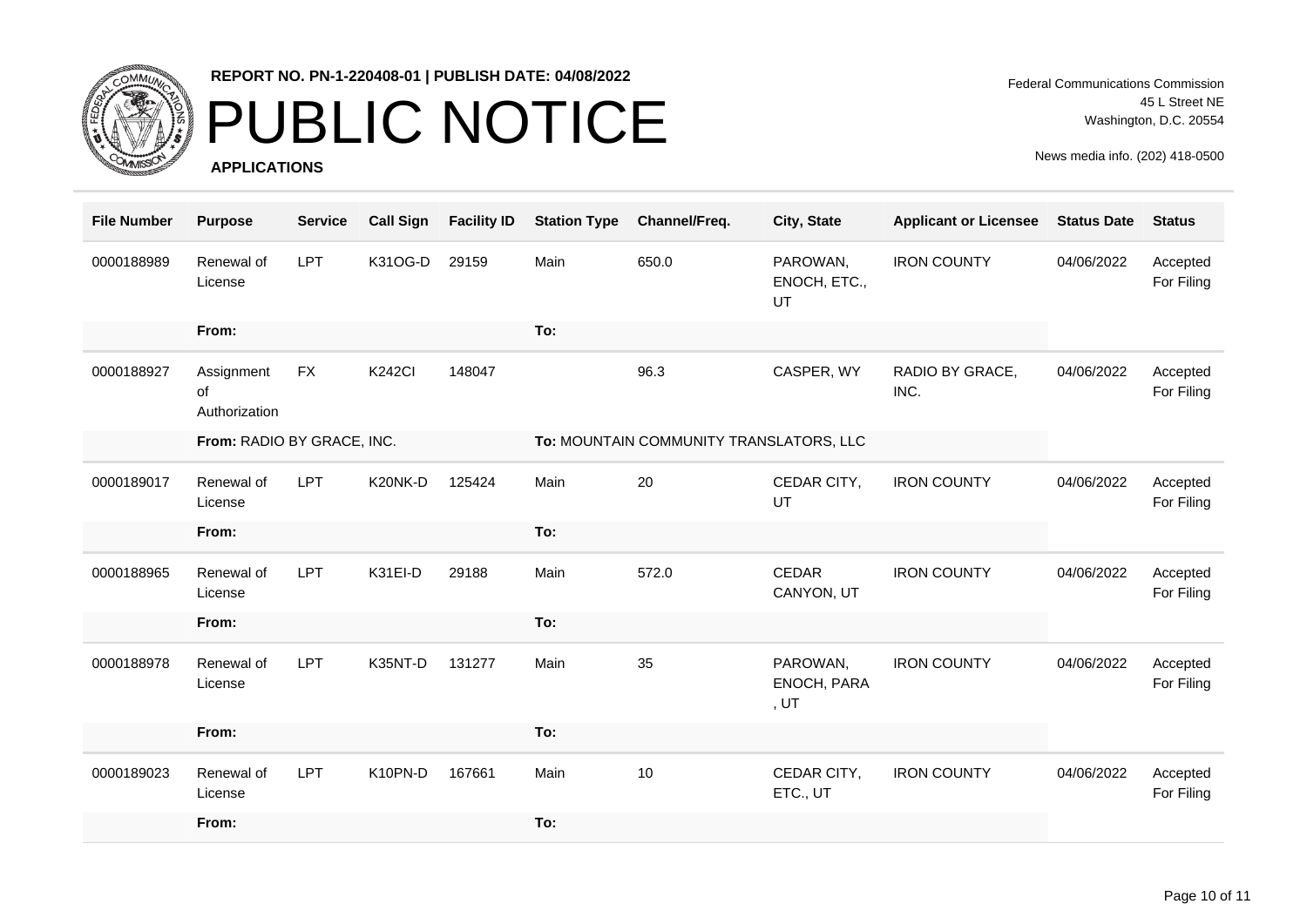

# PUBLIC NOTICE

**APPLICATIONS**

Federal Communications Commission 45 L Street NE Washington, D.C. 20554

| <b>File Number</b> | <b>Purpose</b>                    | <b>Service</b> | <b>Call Sign</b> | <b>Facility ID</b> | <b>Station Type</b> | Channel/Freq.                           | City, State                       | <b>Applicant or Licensee</b> | <b>Status Date</b> | <b>Status</b>          |
|--------------------|-----------------------------------|----------------|------------------|--------------------|---------------------|-----------------------------------------|-----------------------------------|------------------------------|--------------------|------------------------|
| 0000188989         | Renewal of<br>License             | LPT            | K31OG-D          | 29159              | Main                | 650.0                                   | PAROWAN,<br>ENOCH, ETC.,<br>UT    | <b>IRON COUNTY</b>           | 04/06/2022         | Accepted<br>For Filing |
|                    | From:                             |                |                  |                    | To:                 |                                         |                                   |                              |                    |                        |
| 0000188927         | Assignment<br>of<br>Authorization | <b>FX</b>      | <b>K242CI</b>    | 148047             |                     | 96.3                                    | CASPER, WY                        | RADIO BY GRACE,<br>INC.      | 04/06/2022         | Accepted<br>For Filing |
|                    | From: RADIO BY GRACE, INC.        |                |                  |                    |                     | To: MOUNTAIN COMMUNITY TRANSLATORS, LLC |                                   |                              |                    |                        |
| 0000189017         | Renewal of<br>License             | <b>LPT</b>     | K20NK-D          | 125424             | Main                | 20                                      | CEDAR CITY,<br>UT                 | <b>IRON COUNTY</b>           | 04/06/2022         | Accepted<br>For Filing |
|                    | From:                             |                |                  |                    | To:                 |                                         |                                   |                              |                    |                        |
| 0000188965         | Renewal of<br>License             | LPT            | K31EI-D          | 29188              | Main                | 572.0                                   | CEDAR<br>CANYON, UT               | <b>IRON COUNTY</b>           | 04/06/2022         | Accepted<br>For Filing |
|                    | From:                             |                |                  |                    | To:                 |                                         |                                   |                              |                    |                        |
| 0000188978         | Renewal of<br>License             | <b>LPT</b>     | K35NT-D          | 131277             | Main                | 35                                      | PAROWAN,<br>ENOCH, PARA<br>, $UT$ | <b>IRON COUNTY</b>           | 04/06/2022         | Accepted<br>For Filing |
|                    | From:                             |                |                  |                    | To:                 |                                         |                                   |                              |                    |                        |
| 0000189023         | Renewal of<br>License             | <b>LPT</b>     | K10PN-D          | 167661             | Main                | 10                                      | CEDAR CITY,<br>ETC., UT           | <b>IRON COUNTY</b>           | 04/06/2022         | Accepted<br>For Filing |
|                    | From:                             |                |                  |                    | To:                 |                                         |                                   |                              |                    |                        |